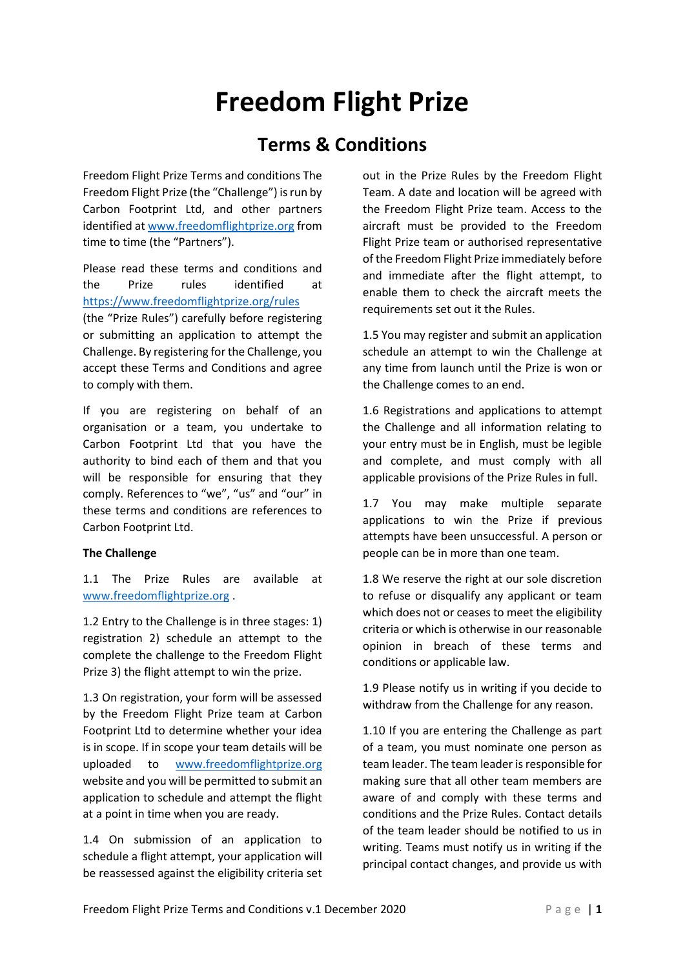# **Freedom Flight Prize**

## **Terms & Conditions**

Freedom Flight Prize Terms and conditions The Freedom Flight Prize (the "Challenge") is run by Carbon Footprint Ltd, and other partners identified a[t www.freedomflightprize.org](http://www.freedomflightprize.org/) from time to time (the "Partners").

Please read these terms and conditions and the Prize rules identified at <https://www.freedomflightprize.org/rules> (the "Prize Rules") carefully before registering or submitting an application to attempt the Challenge. By registering for the Challenge, you accept these Terms and Conditions and agree to comply with them.

If you are registering on behalf of an organisation or a team, you undertake to Carbon Footprint Ltd that you have the authority to bind each of them and that you will be responsible for ensuring that they comply. References to "we", "us" and "our" in these terms and conditions are references to Carbon Footprint Ltd.

#### **The Challenge**

1.1 The Prize Rules are available at [www.freedomflightprize.org](http://www.freedomflightprize.org/) .

1.2 Entry to the Challenge is in three stages: 1) registration 2) schedule an attempt to the complete the challenge to the Freedom Flight Prize 3) the flight attempt to win the prize.

1.3 On registration, your form will be assessed by the Freedom Flight Prize team at Carbon Footprint Ltd to determine whether your idea is in scope. If in scope your team details will be uploaded to [www.freedomflightprize.org](http://www.freedomflightprize.org/) website and you will be permitted to submit an application to schedule and attempt the flight at a point in time when you are ready.

1.4 On submission of an application to schedule a flight attempt, your application will be reassessed against the eligibility criteria set out in the Prize Rules by the Freedom Flight Team. A date and location will be agreed with the Freedom Flight Prize team. Access to the aircraft must be provided to the Freedom Flight Prize team or authorised representative of the Freedom Flight Prize immediately before and immediate after the flight attempt, to enable them to check the aircraft meets the requirements set out it the Rules.

1.5 You may register and submit an application schedule an attempt to win the Challenge at any time from launch until the Prize is won or the Challenge comes to an end.

1.6 Registrations and applications to attempt the Challenge and all information relating to your entry must be in English, must be legible and complete, and must comply with all applicable provisions of the Prize Rules in full.

1.7 You may make multiple separate applications to win the Prize if previous attempts have been unsuccessful. A person or people can be in more than one team.

1.8 We reserve the right at our sole discretion to refuse or disqualify any applicant or team which does not or ceases to meet the eligibility criteria or which is otherwise in our reasonable opinion in breach of these terms and conditions or applicable law.

1.9 Please notify us in writing if you decide to withdraw from the Challenge for any reason.

1.10 If you are entering the Challenge as part of a team, you must nominate one person as team leader. The team leader is responsible for making sure that all other team members are aware of and comply with these terms and conditions and the Prize Rules. Contact details of the team leader should be notified to us in writing. Teams must notify us in writing if the principal contact changes, and provide us with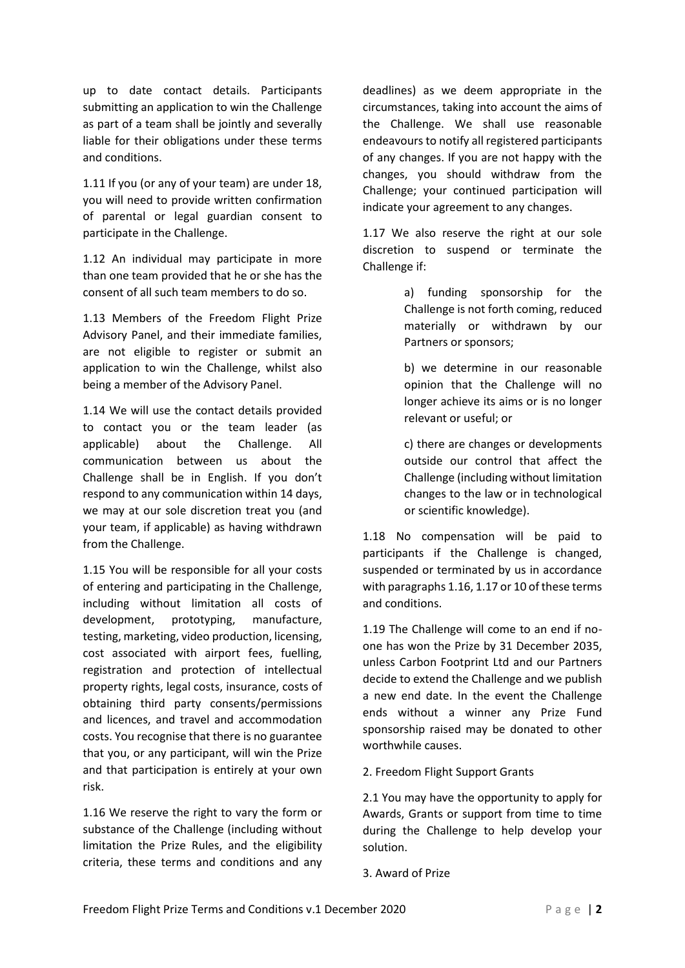up to date contact details. Participants submitting an application to win the Challenge as part of a team shall be jointly and severally liable for their obligations under these terms and conditions.

1.11 If you (or any of your team) are under 18, you will need to provide written confirmation of parental or legal guardian consent to participate in the Challenge.

1.12 An individual may participate in more than one team provided that he or she has the consent of all such team members to do so.

1.13 Members of the Freedom Flight Prize Advisory Panel, and their immediate families, are not eligible to register or submit an application to win the Challenge, whilst also being a member of the Advisory Panel.

1.14 We will use the contact details provided to contact you or the team leader (as applicable) about the Challenge. All communication between us about the Challenge shall be in English. If you don't respond to any communication within 14 days, we may at our sole discretion treat you (and your team, if applicable) as having withdrawn from the Challenge.

1.15 You will be responsible for all your costs of entering and participating in the Challenge, including without limitation all costs of development, prototyping, manufacture, testing, marketing, video production, licensing, cost associated with airport fees, fuelling, registration and protection of intellectual property rights, legal costs, insurance, costs of obtaining third party consents/permissions and licences, and travel and accommodation costs. You recognise that there is no guarantee that you, or any participant, will win the Prize and that participation is entirely at your own risk.

1.16 We reserve the right to vary the form or substance of the Challenge (including without limitation the Prize Rules, and the eligibility criteria, these terms and conditions and any deadlines) as we deem appropriate in the circumstances, taking into account the aims of the Challenge. We shall use reasonable endeavours to notify all registered participants of any changes. If you are not happy with the changes, you should withdraw from the Challenge; your continued participation will indicate your agreement to any changes.

1.17 We also reserve the right at our sole discretion to suspend or terminate the Challenge if:

> a) funding sponsorship for the Challenge is not forth coming, reduced materially or withdrawn by our Partners or sponsors;

> b) we determine in our reasonable opinion that the Challenge will no longer achieve its aims or is no longer relevant or useful; or

> c) there are changes or developments outside our control that affect the Challenge (including without limitation changes to the law or in technological or scientific knowledge).

1.18 No compensation will be paid to participants if the Challenge is changed, suspended or terminated by us in accordance with paragraphs 1.16, 1.17 or 10 of these terms and conditions.

1.19 The Challenge will come to an end if noone has won the Prize by 31 December 2035, unless Carbon Footprint Ltd and our Partners decide to extend the Challenge and we publish a new end date. In the event the Challenge ends without a winner any Prize Fund sponsorship raised may be donated to other worthwhile causes.

2. Freedom Flight Support Grants

2.1 You may have the opportunity to apply for Awards, Grants or support from time to time during the Challenge to help develop your solution.

3. Award of Prize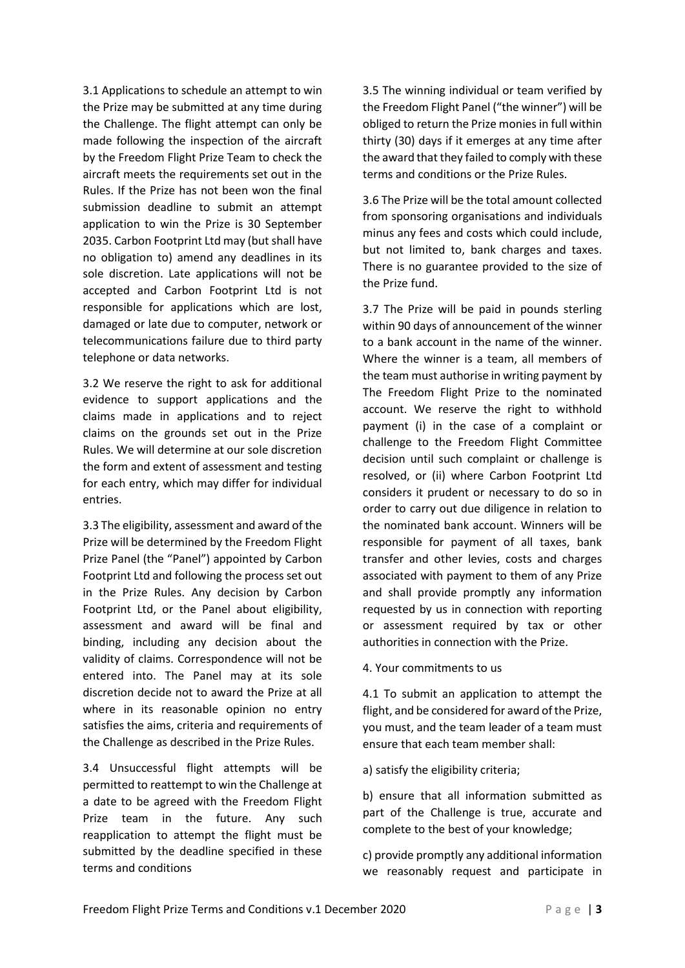3.1 Applications to schedule an attempt to win the Prize may be submitted at any time during the Challenge. The flight attempt can only be made following the inspection of the aircraft by the Freedom Flight Prize Team to check the aircraft meets the requirements set out in the Rules. If the Prize has not been won the final submission deadline to submit an attempt application to win the Prize is 30 September 2035. Carbon Footprint Ltd may (but shall have no obligation to) amend any deadlines in its sole discretion. Late applications will not be accepted and Carbon Footprint Ltd is not responsible for applications which are lost, damaged or late due to computer, network or telecommunications failure due to third party telephone or data networks.

3.2 We reserve the right to ask for additional evidence to support applications and the claims made in applications and to reject claims on the grounds set out in the Prize Rules. We will determine at our sole discretion the form and extent of assessment and testing for each entry, which may differ for individual entries.

3.3 The eligibility, assessment and award of the Prize will be determined by the Freedom Flight Prize Panel (the "Panel") appointed by Carbon Footprint Ltd and following the process set out in the Prize Rules. Any decision by Carbon Footprint Ltd, or the Panel about eligibility, assessment and award will be final and binding, including any decision about the validity of claims. Correspondence will not be entered into. The Panel may at its sole discretion decide not to award the Prize at all where in its reasonable opinion no entry satisfies the aims, criteria and requirements of the Challenge as described in the Prize Rules.

3.4 Unsuccessful flight attempts will be permitted to reattempt to win the Challenge at a date to be agreed with the Freedom Flight Prize team in the future. Any such reapplication to attempt the flight must be submitted by the deadline specified in these terms and conditions

3.5 The winning individual or team verified by the Freedom Flight Panel ("the winner") will be obliged to return the Prize monies in full within thirty (30) days if it emerges at any time after the award that they failed to comply with these terms and conditions or the Prize Rules.

3.6 The Prize will be the total amount collected from sponsoring organisations and individuals minus any fees and costs which could include, but not limited to, bank charges and taxes. There is no guarantee provided to the size of the Prize fund.

3.7 The Prize will be paid in pounds sterling within 90 days of announcement of the winner to a bank account in the name of the winner. Where the winner is a team, all members of the team must authorise in writing payment by The Freedom Flight Prize to the nominated account. We reserve the right to withhold payment (i) in the case of a complaint or challenge to the Freedom Flight Committee decision until such complaint or challenge is resolved, or (ii) where Carbon Footprint Ltd considers it prudent or necessary to do so in order to carry out due diligence in relation to the nominated bank account. Winners will be responsible for payment of all taxes, bank transfer and other levies, costs and charges associated with payment to them of any Prize and shall provide promptly any information requested by us in connection with reporting or assessment required by tax or other authorities in connection with the Prize.

4. Your commitments to us

4.1 To submit an application to attempt the flight, and be considered for award of the Prize, you must, and the team leader of a team must ensure that each team member shall:

a) satisfy the eligibility criteria;

b) ensure that all information submitted as part of the Challenge is true, accurate and complete to the best of your knowledge;

c) provide promptly any additional information we reasonably request and participate in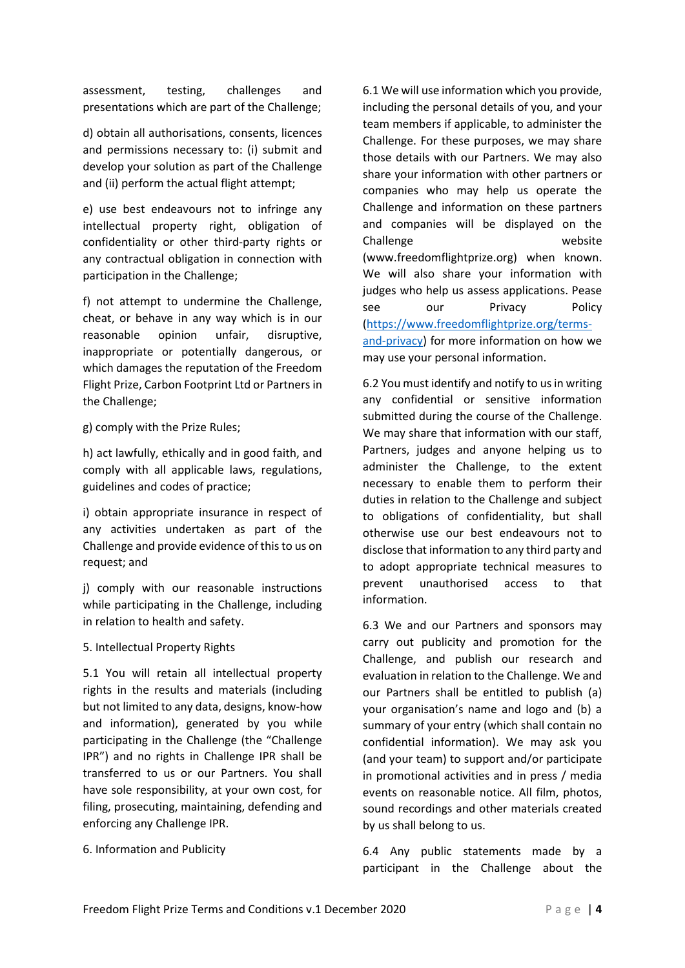assessment, testing, challenges and presentations which are part of the Challenge;

d) obtain all authorisations, consents, licences and permissions necessary to: (i) submit and develop your solution as part of the Challenge and (ii) perform the actual flight attempt;

e) use best endeavours not to infringe any intellectual property right, obligation of confidentiality or other third-party rights or any contractual obligation in connection with participation in the Challenge;

f) not attempt to undermine the Challenge, cheat, or behave in any way which is in our reasonable opinion unfair, disruptive, inappropriate or potentially dangerous, or which damages the reputation of the Freedom Flight Prize, Carbon Footprint Ltd or Partners in the Challenge;

g) comply with the Prize Rules;

h) act lawfully, ethically and in good faith, and comply with all applicable laws, regulations, guidelines and codes of practice;

i) obtain appropriate insurance in respect of any activities undertaken as part of the Challenge and provide evidence of this to us on request; and

j) comply with our reasonable instructions while participating in the Challenge, including in relation to health and safety.

#### 5. Intellectual Property Rights

5.1 You will retain all intellectual property rights in the results and materials (including but not limited to any data, designs, know-how and information), generated by you while participating in the Challenge (the "Challenge IPR") and no rights in Challenge IPR shall be transferred to us or our Partners. You shall have sole responsibility, at your own cost, for filing, prosecuting, maintaining, defending and enforcing any Challenge IPR.

6. Information and Publicity

6.1 We will use information which you provide, including the personal details of you, and your team members if applicable, to administer the Challenge. For these purposes, we may share those details with our Partners. We may also share your information with other partners or companies who may help us operate the Challenge and information on these partners and companies will be displayed on the Challenge website (www.freedomflightprize.org) when known. We will also share your information with judges who help us assess applications. Pease see our Privacy Policy [\(https://www.freedomflightprize.org/terms](https://www.freedomflightprize.org/terms-and-privacy)[and-privacy\)](https://www.freedomflightprize.org/terms-and-privacy) for more information on how we may use your personal information.

6.2 You must identify and notify to us in writing any confidential or sensitive information submitted during the course of the Challenge. We may share that information with our staff, Partners, judges and anyone helping us to administer the Challenge, to the extent necessary to enable them to perform their duties in relation to the Challenge and subject to obligations of confidentiality, but shall otherwise use our best endeavours not to disclose that information to any third party and to adopt appropriate technical measures to prevent unauthorised access to that information.

6.3 We and our Partners and sponsors may carry out publicity and promotion for the Challenge, and publish our research and evaluation in relation to the Challenge. We and our Partners shall be entitled to publish (a) your organisation's name and logo and (b) a summary of your entry (which shall contain no confidential information). We may ask you (and your team) to support and/or participate in promotional activities and in press / media events on reasonable notice. All film, photos, sound recordings and other materials created by us shall belong to us.

6.4 Any public statements made by a participant in the Challenge about the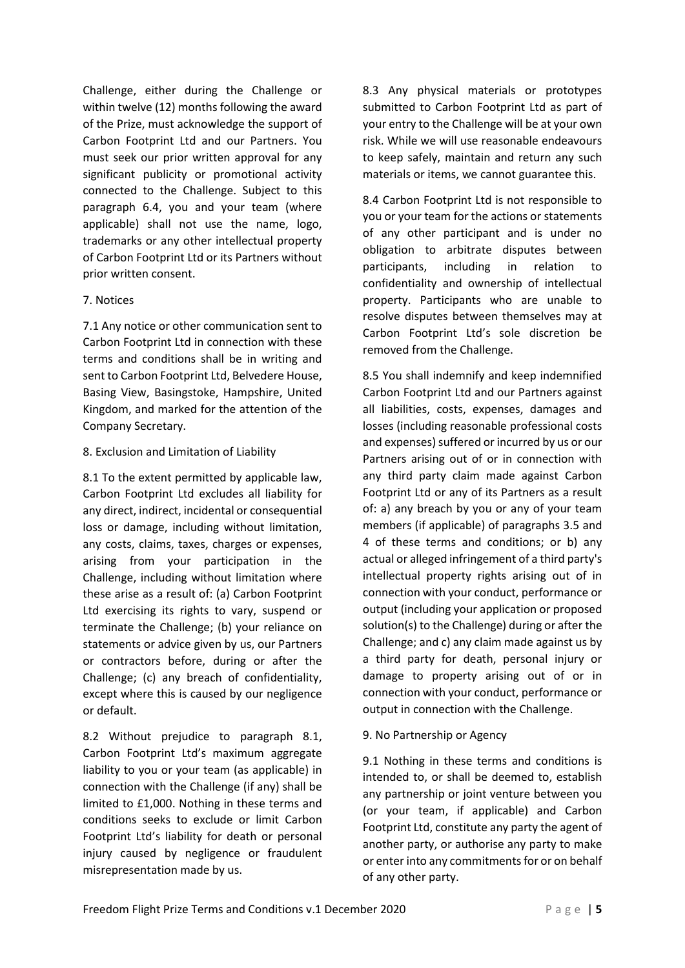Challenge, either during the Challenge or within twelve (12) months following the award of the Prize, must acknowledge the support of Carbon Footprint Ltd and our Partners. You must seek our prior written approval for any significant publicity or promotional activity connected to the Challenge. Subject to this paragraph 6.4, you and your team (where applicable) shall not use the name, logo, trademarks or any other intellectual property of Carbon Footprint Ltd or its Partners without prior written consent.

#### 7. Notices

7.1 Any notice or other communication sent to Carbon Footprint Ltd in connection with these terms and conditions shall be in writing and sent to Carbon Footprint Ltd, Belvedere House, Basing View, Basingstoke, Hampshire, United Kingdom, and marked for the attention of the Company Secretary.

#### 8. Exclusion and Limitation of Liability

8.1 To the extent permitted by applicable law, Carbon Footprint Ltd excludes all liability for any direct, indirect, incidental or consequential loss or damage, including without limitation, any costs, claims, taxes, charges or expenses, arising from your participation in the Challenge, including without limitation where these arise as a result of: (a) Carbon Footprint Ltd exercising its rights to vary, suspend or terminate the Challenge; (b) your reliance on statements or advice given by us, our Partners or contractors before, during or after the Challenge; (c) any breach of confidentiality, except where this is caused by our negligence or default.

8.2 Without prejudice to paragraph 8.1, Carbon Footprint Ltd's maximum aggregate liability to you or your team (as applicable) in connection with the Challenge (if any) shall be limited to £1,000. Nothing in these terms and conditions seeks to exclude or limit Carbon Footprint Ltd's liability for death or personal injury caused by negligence or fraudulent misrepresentation made by us.

8.3 Any physical materials or prototypes submitted to Carbon Footprint Ltd as part of your entry to the Challenge will be at your own risk. While we will use reasonable endeavours to keep safely, maintain and return any such materials or items, we cannot guarantee this.

8.4 Carbon Footprint Ltd is not responsible to you or your team for the actions or statements of any other participant and is under no obligation to arbitrate disputes between participants, including in relation to confidentiality and ownership of intellectual property. Participants who are unable to resolve disputes between themselves may at Carbon Footprint Ltd's sole discretion be removed from the Challenge.

8.5 You shall indemnify and keep indemnified Carbon Footprint Ltd and our Partners against all liabilities, costs, expenses, damages and losses (including reasonable professional costs and expenses) suffered or incurred by us or our Partners arising out of or in connection with any third party claim made against Carbon Footprint Ltd or any of its Partners as a result of: a) any breach by you or any of your team members (if applicable) of paragraphs 3.5 and 4 of these terms and conditions; or b) any actual or alleged infringement of a third party's intellectual property rights arising out of in connection with your conduct, performance or output (including your application or proposed solution(s) to the Challenge) during or after the Challenge; and c) any claim made against us by a third party for death, personal injury or damage to property arising out of or in connection with your conduct, performance or output in connection with the Challenge.

### 9. No Partnership or Agency

9.1 Nothing in these terms and conditions is intended to, or shall be deemed to, establish any partnership or joint venture between you (or your team, if applicable) and Carbon Footprint Ltd, constitute any party the agent of another party, or authorise any party to make or enter into any commitments for or on behalf of any other party.